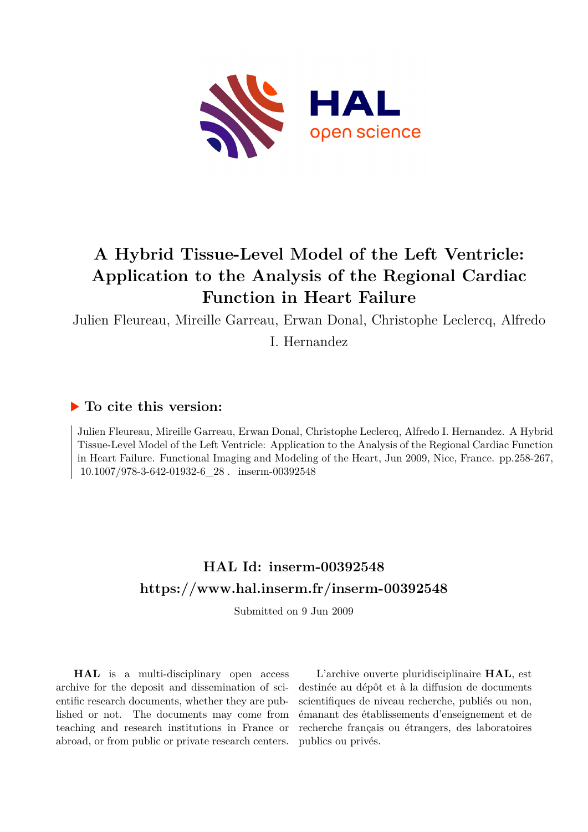

# **A Hybrid Tissue-Level Model of the Left Ventricle: Application to the Analysis of the Regional Cardiac Function in Heart Failure**

Julien Fleureau, Mireille Garreau, Erwan Donal, Christophe Leclercq, Alfredo

I. Hernandez

## **To cite this version:**

Julien Fleureau, Mireille Garreau, Erwan Donal, Christophe Leclercq, Alfredo I. Hernandez. A Hybrid Tissue-Level Model of the Left Ventricle: Application to the Analysis of the Regional Cardiac Function in Heart Failure. Functional Imaging and Modeling of the Heart, Jun 2009, Nice, France. pp.258-267, 10.1007/978-3-642-01932-6 28 . inserm-00392548

# **HAL Id: inserm-00392548 <https://www.hal.inserm.fr/inserm-00392548>**

Submitted on 9 Jun 2009

**HAL** is a multi-disciplinary open access archive for the deposit and dissemination of scientific research documents, whether they are published or not. The documents may come from teaching and research institutions in France or abroad, or from public or private research centers.

L'archive ouverte pluridisciplinaire **HAL**, est destinée au dépôt et à la diffusion de documents scientifiques de niveau recherche, publiés ou non, émanant des établissements d'enseignement et de recherche français ou étrangers, des laboratoires publics ou privés.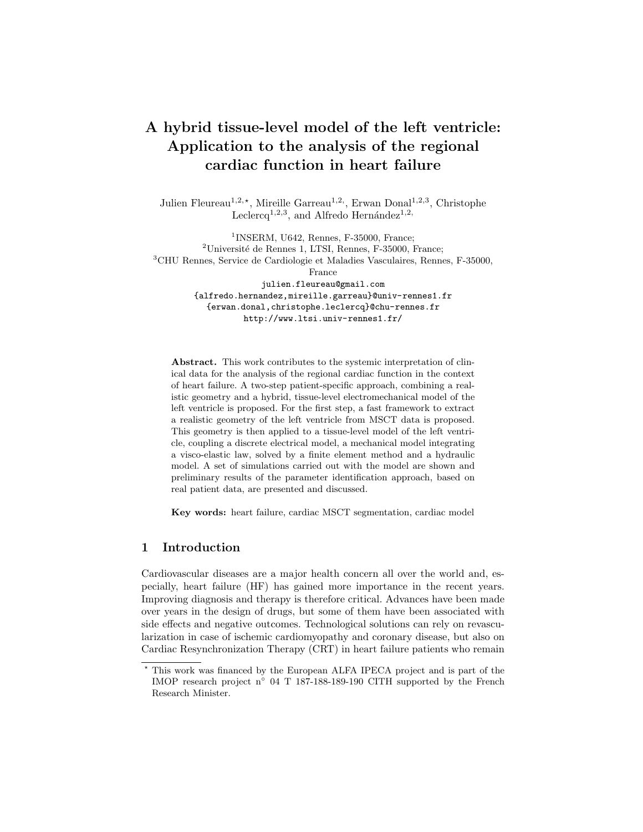## A hybrid tissue-level model of the left ventricle: Application to the analysis of the regional cardiac function in heart failure

Julien Fleureau<sup>1,2,\*</sup>, Mireille Garreau<sup>1,2,</sup>, Erwan Donal<sup>1,2,3</sup>, Christophe Leclercq<sup>1,2,3</sup>, and Alfredo Hernández<sup>1,2,</sup>

1 INSERM, U642, Rennes, F-35000, France;  $2^2$ Université de Rennes 1, LTSI, Rennes, F-35000, France; <sup>3</sup>CHU Rennes, Service de Cardiologie et Maladies Vasculaires, Rennes, F-35000, France julien.fleureau@gmail.com {alfredo.hernandez,mireille.garreau}@univ-rennes1.fr {erwan.donal,christophe.leclercq}@chu-rennes.fr http://www.ltsi.univ-rennes1.fr/

Abstract. This work contributes to the systemic interpretation of clinical data for the analysis of the regional cardiac function in the context of heart failure. A two-step patient-specific approach, combining a realistic geometry and a hybrid, tissue-level electromechanical model of the left ventricle is proposed. For the first step, a fast framework to extract a realistic geometry of the left ventricle from MSCT data is proposed. This geometry is then applied to a tissue-level model of the left ventricle, coupling a discrete electrical model, a mechanical model integrating a visco-elastic law, solved by a finite element method and a hydraulic model. A set of simulations carried out with the model are shown and preliminary results of the parameter identification approach, based on real patient data, are presented and discussed.

Key words: heart failure, cardiac MSCT segmentation, cardiac model

### 1 Introduction

Cardiovascular diseases are a major health concern all over the world and, especially, heart failure (HF) has gained more importance in the recent years. Improving diagnosis and therapy is therefore critical. Advances have been made over years in the design of drugs, but some of them have been associated with side effects and negative outcomes. Technological solutions can rely on revascularization in case of ischemic cardiomyopathy and coronary disease, but also on Cardiac Resynchronization Therapy (CRT) in heart failure patients who remain

<sup>?</sup> This work was financed by the European ALFA IPECA project and is part of the IMOP research project n° 04 T 187-188-189-190 CITH supported by the French Research Minister.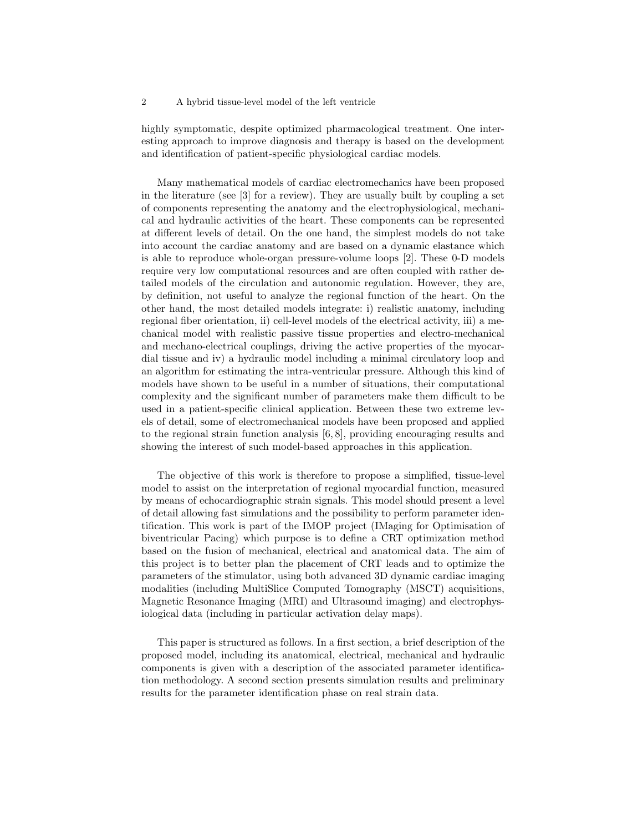#### 2 A hybrid tissue-level model of the left ventricle

highly symptomatic, despite optimized pharmacological treatment. One interesting approach to improve diagnosis and therapy is based on the development and identification of patient-specific physiological cardiac models.

Many mathematical models of cardiac electromechanics have been proposed in the literature (see [3] for a review). They are usually built by coupling a set of components representing the anatomy and the electrophysiological, mechanical and hydraulic activities of the heart. These components can be represented at different levels of detail. On the one hand, the simplest models do not take into account the cardiac anatomy and are based on a dynamic elastance which is able to reproduce whole-organ pressure-volume loops [2]. These 0-D models require very low computational resources and are often coupled with rather detailed models of the circulation and autonomic regulation. However, they are, by definition, not useful to analyze the regional function of the heart. On the other hand, the most detailed models integrate: i) realistic anatomy, including regional fiber orientation, ii) cell-level models of the electrical activity, iii) a mechanical model with realistic passive tissue properties and electro-mechanical and mechano-electrical couplings, driving the active properties of the myocardial tissue and iv) a hydraulic model including a minimal circulatory loop and an algorithm for estimating the intra-ventricular pressure. Although this kind of models have shown to be useful in a number of situations, their computational complexity and the significant number of parameters make them difficult to be used in a patient-specific clinical application. Between these two extreme levels of detail, some of electromechanical models have been proposed and applied to the regional strain function analysis [6, 8], providing encouraging results and showing the interest of such model-based approaches in this application.

The objective of this work is therefore to propose a simplified, tissue-level model to assist on the interpretation of regional myocardial function, measured by means of echocardiographic strain signals. This model should present a level of detail allowing fast simulations and the possibility to perform parameter identification. This work is part of the IMOP project (IMaging for Optimisation of biventricular Pacing) which purpose is to define a CRT optimization method based on the fusion of mechanical, electrical and anatomical data. The aim of this project is to better plan the placement of CRT leads and to optimize the parameters of the stimulator, using both advanced 3D dynamic cardiac imaging modalities (including MultiSlice Computed Tomography (MSCT) acquisitions, Magnetic Resonance Imaging (MRI) and Ultrasound imaging) and electrophysiological data (including in particular activation delay maps).

This paper is structured as follows. In a first section, a brief description of the proposed model, including its anatomical, electrical, mechanical and hydraulic components is given with a description of the associated parameter identification methodology. A second section presents simulation results and preliminary results for the parameter identification phase on real strain data.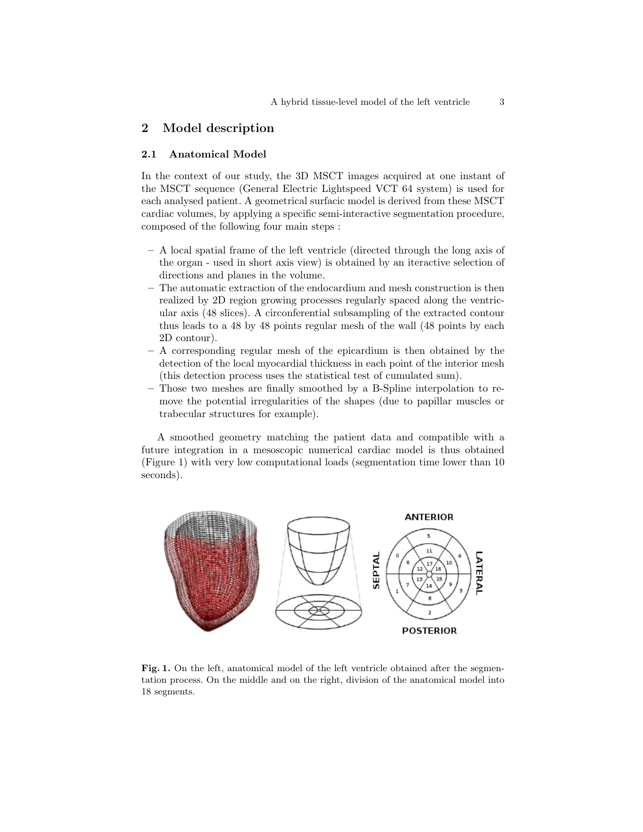## 2 Model description

#### 2.1 Anatomical Model

In the context of our study, the 3D MSCT images acquired at one instant of the MSCT sequence (General Electric Lightspeed VCT 64 system) is used for each analysed patient. A geometrical surfacic model is derived from these MSCT cardiac volumes, by applying a specific semi-interactive segmentation procedure, composed of the following four main steps :

- A local spatial frame of the left ventricle (directed through the long axis of the organ - used in short axis view) is obtained by an iteractive selection of directions and planes in the volume.
- The automatic extraction of the endocardium and mesh construction is then realized by 2D region growing processes regularly spaced along the ventricular axis (48 slices). A circonferential subsampling of the extracted contour thus leads to a 48 by 48 points regular mesh of the wall (48 points by each 2D contour).
- A corresponding regular mesh of the epicardium is then obtained by the detection of the local myocardial thickness in each point of the interior mesh (this detection process uses the statistical test of cumulated sum).
- Those two meshes are finally smoothed by a B-Spline interpolation to remove the potential irregularities of the shapes (due to papillar muscles or trabecular structures for example).

A smoothed geometry matching the patient data and compatible with a future integration in a mesoscopic numerical cardiac model is thus obtained (Figure 1) with very low computational loads (segmentation time lower than 10 seconds).



Fig. 1. On the left, anatomical model of the left ventricle obtained after the segmentation process. On the middle and on the right, division of the anatomical model into 18 segments.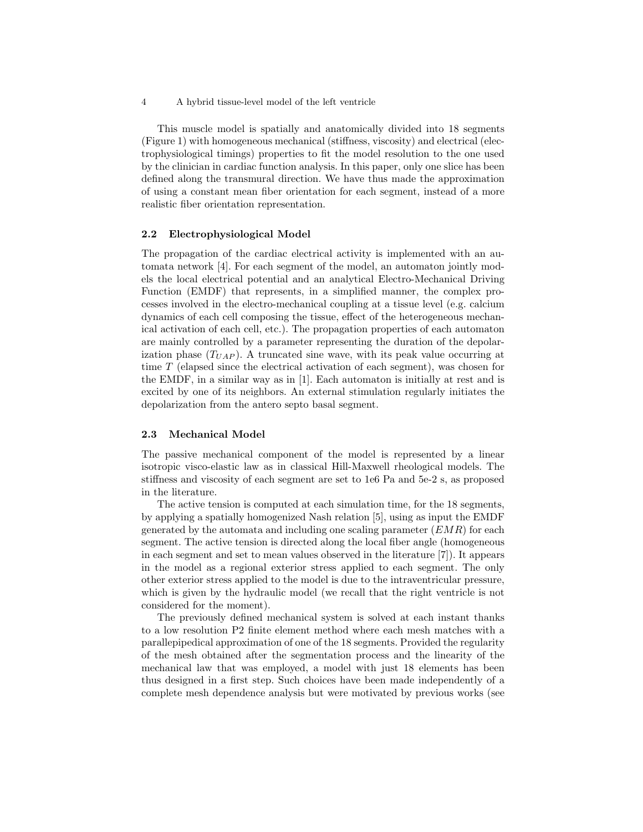4 A hybrid tissue-level model of the left ventricle

This muscle model is spatially and anatomically divided into 18 segments (Figure 1) with homogeneous mechanical (stiffness, viscosity) and electrical (electrophysiological timings) properties to fit the model resolution to the one used by the clinician in cardiac function analysis. In this paper, only one slice has been defined along the transmural direction. We have thus made the approximation of using a constant mean fiber orientation for each segment, instead of a more realistic fiber orientation representation.

#### 2.2 Electrophysiological Model

The propagation of the cardiac electrical activity is implemented with an automata network [4]. For each segment of the model, an automaton jointly models the local electrical potential and an analytical Electro-Mechanical Driving Function (EMDF) that represents, in a simplified manner, the complex processes involved in the electro-mechanical coupling at a tissue level (e.g. calcium dynamics of each cell composing the tissue, effect of the heterogeneous mechanical activation of each cell, etc.). The propagation properties of each automaton are mainly controlled by a parameter representing the duration of the depolarization phase  $(T_{UAP})$ . A truncated sine wave, with its peak value occurring at time T (elapsed since the electrical activation of each segment), was chosen for the EMDF, in a similar way as in [1]. Each automaton is initially at rest and is excited by one of its neighbors. An external stimulation regularly initiates the depolarization from the antero septo basal segment.

#### 2.3 Mechanical Model

The passive mechanical component of the model is represented by a linear isotropic visco-elastic law as in classical Hill-Maxwell rheological models. The stiffness and viscosity of each segment are set to 1e6 Pa and 5e-2 s, as proposed in the literature.

The active tension is computed at each simulation time, for the 18 segments, by applying a spatially homogenized Nash relation [5], using as input the EMDF generated by the automata and including one scaling parameter  $(EMR)$  for each segment. The active tension is directed along the local fiber angle (homogeneous in each segment and set to mean values observed in the literature [7]). It appears in the model as a regional exterior stress applied to each segment. The only other exterior stress applied to the model is due to the intraventricular pressure, which is given by the hydraulic model (we recall that the right ventricle is not considered for the moment).

The previously defined mechanical system is solved at each instant thanks to a low resolution P2 finite element method where each mesh matches with a parallepipedical approximation of one of the 18 segments. Provided the regularity of the mesh obtained after the segmentation process and the linearity of the mechanical law that was employed, a model with just 18 elements has been thus designed in a first step. Such choices have been made independently of a complete mesh dependence analysis but were motivated by previous works (see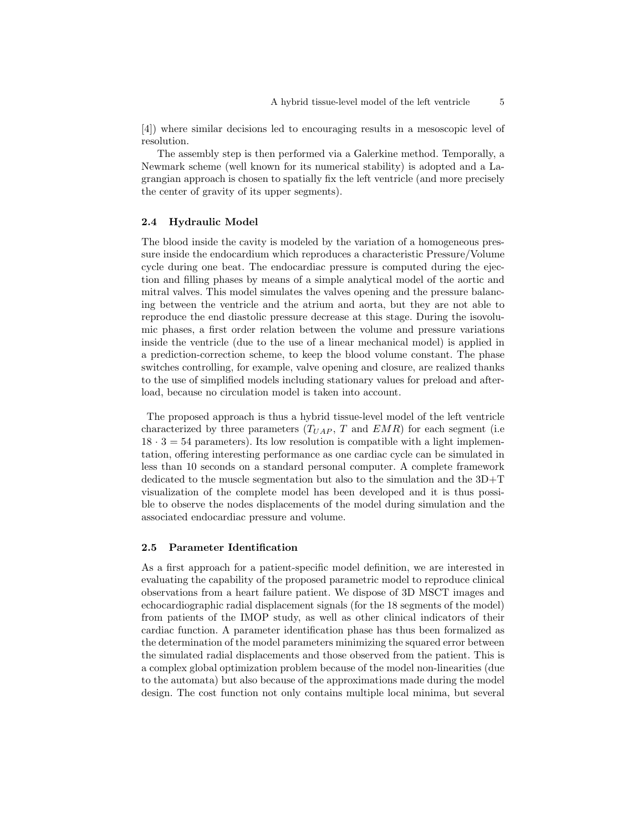[4]) where similar decisions led to encouraging results in a mesoscopic level of resolution.

The assembly step is then performed via a Galerkine method. Temporally, a Newmark scheme (well known for its numerical stability) is adopted and a Lagrangian approach is chosen to spatially fix the left ventricle (and more precisely the center of gravity of its upper segments).

#### 2.4 Hydraulic Model

The blood inside the cavity is modeled by the variation of a homogeneous pressure inside the endocardium which reproduces a characteristic Pressure/Volume cycle during one beat. The endocardiac pressure is computed during the ejection and filling phases by means of a simple analytical model of the aortic and mitral valves. This model simulates the valves opening and the pressure balancing between the ventricle and the atrium and aorta, but they are not able to reproduce the end diastolic pressure decrease at this stage. During the isovolumic phases, a first order relation between the volume and pressure variations inside the ventricle (due to the use of a linear mechanical model) is applied in a prediction-correction scheme, to keep the blood volume constant. The phase switches controlling, for example, valve opening and closure, are realized thanks to the use of simplified models including stationary values for preload and afterload, because no circulation model is taken into account.

The proposed approach is thus a hybrid tissue-level model of the left ventricle characterized by three parameters  $(T_{UAP}, T \text{ and } EMR)$  for each segment (i.e.  $18 \cdot 3 = 54$  parameters). Its low resolution is compatible with a light implementation, offering interesting performance as one cardiac cycle can be simulated in less than 10 seconds on a standard personal computer. A complete framework dedicated to the muscle segmentation but also to the simulation and the 3D+T visualization of the complete model has been developed and it is thus possible to observe the nodes displacements of the model during simulation and the associated endocardiac pressure and volume.

#### 2.5 Parameter Identification

As a first approach for a patient-specific model definition, we are interested in evaluating the capability of the proposed parametric model to reproduce clinical observations from a heart failure patient. We dispose of 3D MSCT images and echocardiographic radial displacement signals (for the 18 segments of the model) from patients of the IMOP study, as well as other clinical indicators of their cardiac function. A parameter identification phase has thus been formalized as the determination of the model parameters minimizing the squared error between the simulated radial displacements and those observed from the patient. This is a complex global optimization problem because of the model non-linearities (due to the automata) but also because of the approximations made during the model design. The cost function not only contains multiple local minima, but several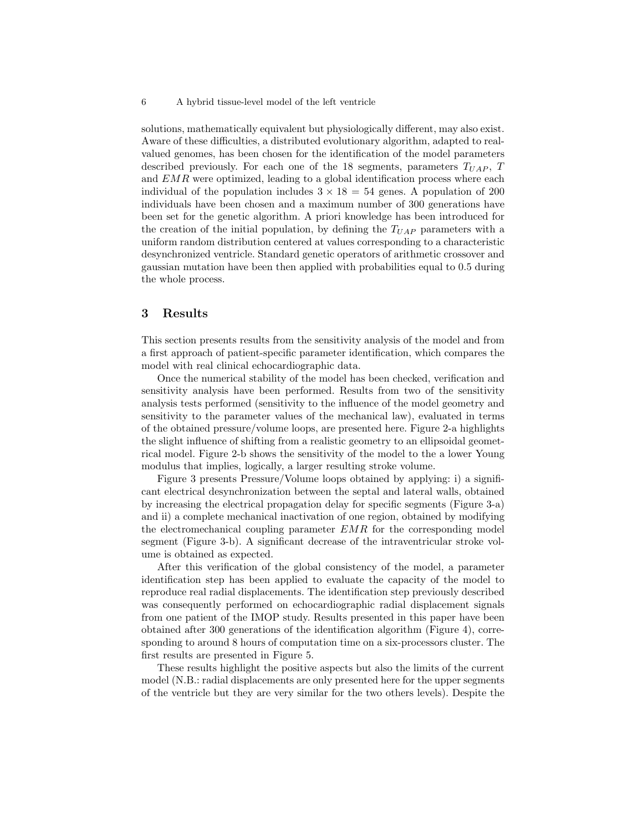solutions, mathematically equivalent but physiologically different, may also exist. Aware of these difficulties, a distributed evolutionary algorithm, adapted to realvalued genomes, has been chosen for the identification of the model parameters described previously. For each one of the 18 segments, parameters  $T_{UAP}$ , T and  $EMR$  were optimized, leading to a global identification process where each individual of the population includes  $3 \times 18 = 54$  genes. A population of 200 individuals have been chosen and a maximum number of 300 generations have been set for the genetic algorithm. A priori knowledge has been introduced for the creation of the initial population, by defining the  $T_{UAP}$  parameters with a uniform random distribution centered at values corresponding to a characteristic desynchronized ventricle. Standard genetic operators of arithmetic crossover and gaussian mutation have been then applied with probabilities equal to 0.5 during the whole process.

### 3 Results

This section presents results from the sensitivity analysis of the model and from a first approach of patient-specific parameter identification, which compares the model with real clinical echocardiographic data.

Once the numerical stability of the model has been checked, verification and sensitivity analysis have been performed. Results from two of the sensitivity analysis tests performed (sensitivity to the influence of the model geometry and sensitivity to the parameter values of the mechanical law), evaluated in terms of the obtained pressure/volume loops, are presented here. Figure 2-a highlights the slight influence of shifting from a realistic geometry to an ellipsoidal geometrical model. Figure 2-b shows the sensitivity of the model to the a lower Young modulus that implies, logically, a larger resulting stroke volume.

Figure 3 presents Pressure/Volume loops obtained by applying: i) a significant electrical desynchronization between the septal and lateral walls, obtained by increasing the electrical propagation delay for specific segments (Figure 3-a) and ii) a complete mechanical inactivation of one region, obtained by modifying the electromechanical coupling parameter  $EMR$  for the corresponding model segment (Figure 3-b). A significant decrease of the intraventricular stroke volume is obtained as expected.

After this verification of the global consistency of the model, a parameter identification step has been applied to evaluate the capacity of the model to reproduce real radial displacements. The identification step previously described was consequently performed on echocardiographic radial displacement signals from one patient of the IMOP study. Results presented in this paper have been obtained after 300 generations of the identification algorithm (Figure 4), corresponding to around 8 hours of computation time on a six-processors cluster. The first results are presented in Figure 5.

These results highlight the positive aspects but also the limits of the current model (N.B.: radial displacements are only presented here for the upper segments of the ventricle but they are very similar for the two others levels). Despite the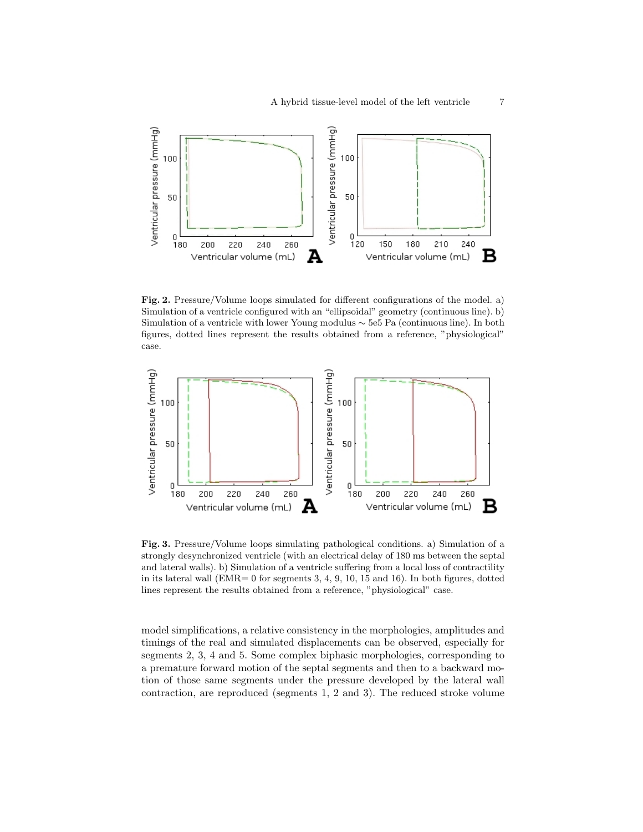

Fig. 2. Pressure/Volume loops simulated for different configurations of the model. a) Simulation of a ventricle configured with an "ellipsoidal" geometry (continuous line). b) Simulation of a ventricle with lower Young modulus ∼ 5e5 Pa (continuous line). In both figures, dotted lines represent the results obtained from a reference, "physiological" case.



Fig. 3. Pressure/Volume loops simulating pathological conditions. a) Simulation of a strongly desynchronized ventricle (with an electrical delay of 180 ms between the septal and lateral walls). b) Simulation of a ventricle suffering from a local loss of contractility in its lateral wall  $(EMR= 0$  for segments 3, 4, 9, 10, 15 and 16). In both figures, dotted lines represent the results obtained from a reference, "physiological" case.

model simplifications, a relative consistency in the morphologies, amplitudes and timings of the real and simulated displacements can be observed, especially for segments 2, 3, 4 and 5. Some complex biphasic morphologies, corresponding to a premature forward motion of the septal segments and then to a backward motion of those same segments under the pressure developed by the lateral wall contraction, are reproduced (segments 1, 2 and 3). The reduced stroke volume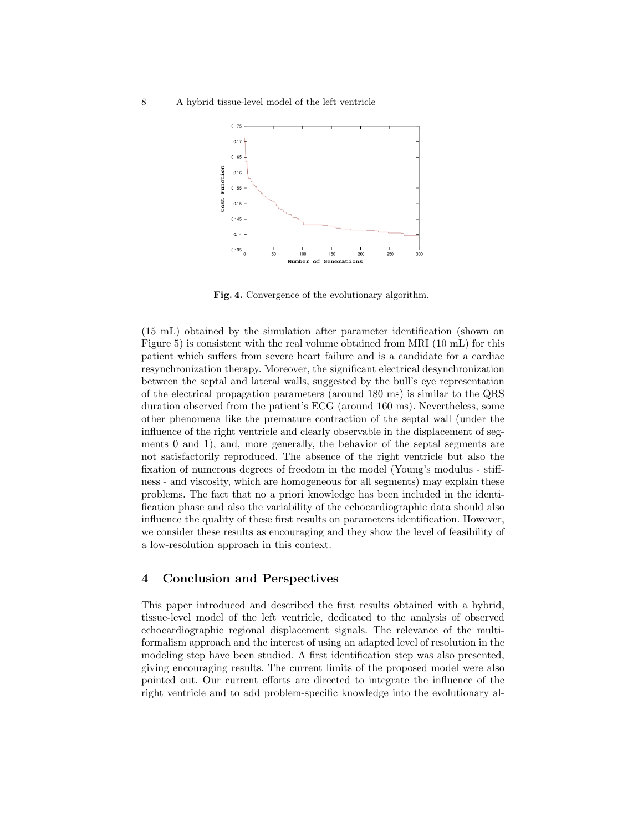

Fig. 4. Convergence of the evolutionary algorithm.

(15 mL) obtained by the simulation after parameter identification (shown on Figure 5) is consistent with the real volume obtained from MRI (10 mL) for this patient which suffers from severe heart failure and is a candidate for a cardiac resynchronization therapy. Moreover, the significant electrical desynchronization between the septal and lateral walls, suggested by the bull's eye representation of the electrical propagation parameters (around 180 ms) is similar to the QRS duration observed from the patient's ECG (around 160 ms). Nevertheless, some other phenomena like the premature contraction of the septal wall (under the influence of the right ventricle and clearly observable in the displacement of segments 0 and 1), and, more generally, the behavior of the septal segments are not satisfactorily reproduced. The absence of the right ventricle but also the fixation of numerous degrees of freedom in the model (Young's modulus - stiffness - and viscosity, which are homogeneous for all segments) may explain these problems. The fact that no a priori knowledge has been included in the identification phase and also the variability of the echocardiographic data should also influence the quality of these first results on parameters identification. However, we consider these results as encouraging and they show the level of feasibility of a low-resolution approach in this context.

## 4 Conclusion and Perspectives

This paper introduced and described the first results obtained with a hybrid, tissue-level model of the left ventricle, dedicated to the analysis of observed echocardiographic regional displacement signals. The relevance of the multiformalism approach and the interest of using an adapted level of resolution in the modeling step have been studied. A first identification step was also presented, giving encouraging results. The current limits of the proposed model were also pointed out. Our current efforts are directed to integrate the influence of the right ventricle and to add problem-specific knowledge into the evolutionary al-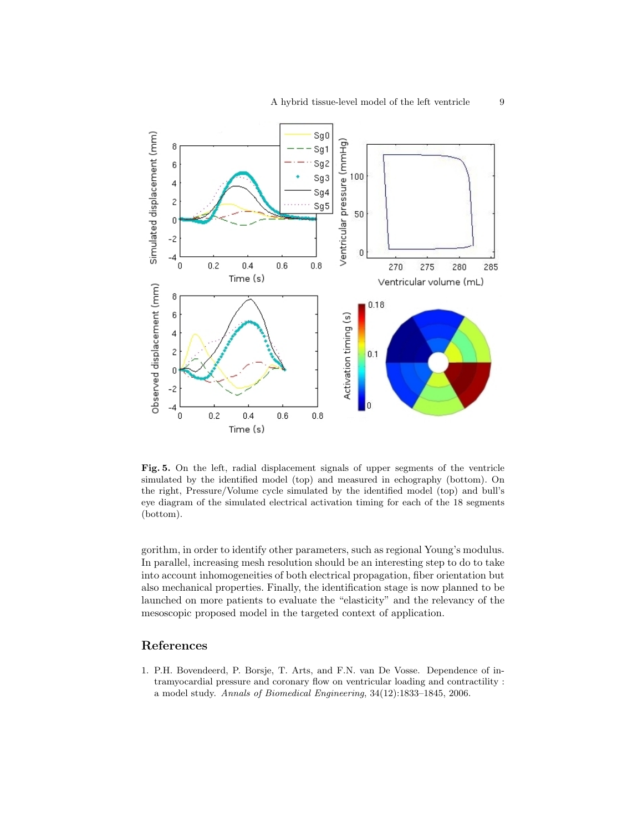

Fig. 5. On the left, radial displacement signals of upper segments of the ventricle simulated by the identified model (top) and measured in echography (bottom). On the right, Pressure/Volume cycle simulated by the identified model (top) and bull's eye diagram of the simulated electrical activation timing for each of the 18 segments (bottom).

gorithm, in order to identify other parameters, such as regional Young's modulus. In parallel, increasing mesh resolution should be an interesting step to do to take into account inhomogeneities of both electrical propagation, fiber orientation but also mechanical properties. Finally, the identification stage is now planned to be launched on more patients to evaluate the "elasticity" and the relevancy of the mesoscopic proposed model in the targeted context of application.

## References

1. P.H. Bovendeerd, P. Borsje, T. Arts, and F.N. van De Vosse. Dependence of intramyocardial pressure and coronary flow on ventricular loading and contractility : a model study. Annals of Biomedical Engineering, 34(12):1833–1845, 2006.